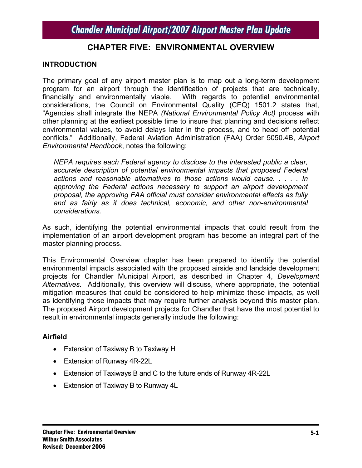### **CHAPTER FIVE: ENVIRONMENTAL OVERVIEW**

#### **INTRODUCTION**

The primary goal of any airport master plan is to map out a long-term development program for an airport through the identification of projects that are technically, financially and environmentally viable. With regards to potential environmental considerations, the Council on Environmental Quality (CEQ) 1501.2 states that, "Agencies shall integrate the NEPA *(National Environmental Policy Act)* process with other planning at the earliest possible time to insure that planning and decisions reflect environmental values, to avoid delays later in the process, and to head off potential conflicts." Additionally, Federal Aviation Administration (FAA) Order 5050.4B, *Airport Environmental Handbook*, notes the following:

*NEPA requires each Federal agency to disclose to the interested public a clear, accurate description of potential environmental impacts that proposed Federal actions and reasonable alternatives to those actions would cause. . . . . In approving the Federal actions necessary to support an airport development proposal, the approving FAA official must consider environmental effects as fully and as fairly as it does technical, economic, and other non-environmental considerations.* 

As such, identifying the potential environmental impacts that could result from the implementation of an airport development program has become an integral part of the master planning process.

This Environmental Overview chapter has been prepared to identify the potential environmental impacts associated with the proposed airside and landside development projects for Chandler Municipal Airport, as described in Chapter 4, *Development Alternatives*. Additionally, this overview will discuss, where appropriate, the potential mitigation measures that could be considered to help minimize these impacts, as well as identifying those impacts that may require further analysis beyond this master plan. The proposed Airport development projects for Chandler that have the most potential to result in environmental impacts generally include the following:

### **Airfield**

- Extension of Taxiway B to Taxiway H
- Extension of Runway 4R-22L
- Extension of Taxiways B and C to the future ends of Runway 4R-22L
- Extension of Taxiway B to Runway 4L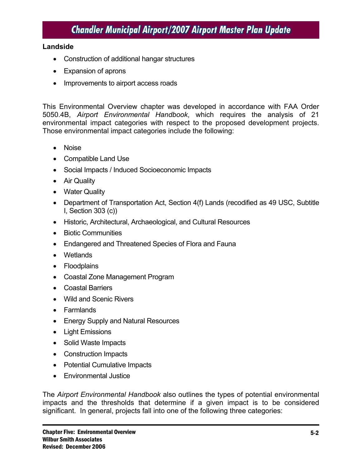#### **Landside**

- Construction of additional hangar structures
- Expansion of aprons
- Improvements to airport access roads

This Environmental Overview chapter was developed in accordance with FAA Order 5050.4B, *Airport Environmental Handbook*, which requires the analysis of 21 environmental impact categories with respect to the proposed development projects. Those environmental impact categories include the following:

- Noise
- Compatible Land Use
- Social Impacts / Induced Socioeconomic Impacts
- Air Quality
- Water Quality
- Department of Transportation Act, Section 4(f) Lands (recodified as 49 USC, Subtitle I, Section 303 (c))
- Historic, Architectural, Archaeological, and Cultural Resources
- Biotic Communities
- Endangered and Threatened Species of Flora and Fauna
- Wetlands
- Floodplains
- Coastal Zone Management Program
- Coastal Barriers
- Wild and Scenic Rivers
- Farmlands
- Energy Supply and Natural Resources
- Light Emissions
- Solid Waste Impacts
- Construction Impacts
- Potential Cumulative Impacts
- Environmental Justice

The *Airport Environmental Handbook* also outlines the types of potential environmental impacts and the thresholds that determine if a given impact is to be considered significant. In general, projects fall into one of the following three categories: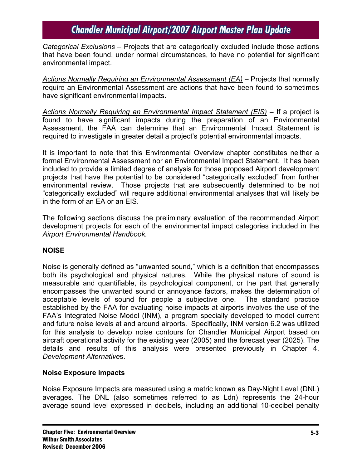*Categorical Exclusions* – Projects that are categorically excluded include those actions that have been found, under normal circumstances, to have no potential for significant environmental impact.

*Actions Normally Requiring an Environmental Assessment (EA)* – Projects that normally require an Environmental Assessment are actions that have been found to sometimes have significant environmental impacts.

*Actions Normally Requiring an Environmental Impact Statement (EIS)* – If a project is found to have significant impacts during the preparation of an Environmental Assessment, the FAA can determine that an Environmental Impact Statement is required to investigate in greater detail a project's potential environmental impacts.

It is important to note that this Environmental Overview chapter constitutes neither a formal Environmental Assessment nor an Environmental Impact Statement. It has been included to provide a limited degree of analysis for those proposed Airport development projects that have the potential to be considered "categorically excluded" from further environmental review. Those projects that are subsequently determined to be not "categorically excluded" will require additional environmental analyses that will likely be in the form of an EA or an EIS.

The following sections discuss the preliminary evaluation of the recommended Airport development projects for each of the environmental impact categories included in the *Airport Environmental Handbook.* 

### **NOISE**

Noise is generally defined as "unwanted sound," which is a definition that encompasses both its psychological and physical natures. While the physical nature of sound is measurable and quantifiable, its psychological component, or the part that generally encompasses the unwanted sound or annoyance factors, makes the determination of acceptable levels of sound for people a subjective one. The standard practice established by the FAA for evaluating noise impacts at airports involves the use of the FAA's Integrated Noise Model (INM), a program specially developed to model current and future noise levels at and around airports. Specifically, INM version 6.2 was utilized for this analysis to develop noise contours for Chandler Municipal Airport based on aircraft operational activity for the existing year (2005) and the forecast year (2025). The details and results of this analysis were presented previously in Chapter 4, *Development Alternative*s.

### **Noise Exposure Impacts**

Noise Exposure Impacts are measured using a metric known as Day-Night Level (DNL) averages. The DNL (also sometimes referred to as Ldn) represents the 24-hour average sound level expressed in decibels, including an additional 10-decibel penalty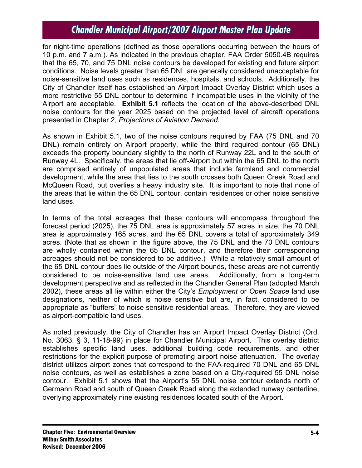for night-time operations (defined as those operations occurring between the hours of 10 p.m. and 7 a.m.). As indicated in the previous chapter, FAA Order 5050.4B requires that the 65, 70, and 75 DNL noise contours be developed for existing and future airport conditions. Noise levels greater than 65 DNL are generally considered unacceptable for noise-sensitive land uses such as residences, hospitals, and schools. Additionally, the City of Chandler itself has established an Airport Impact Overlay District which uses a more restrictive 55 DNL contour to determine if incompatible uses in the vicinity of the Airport are acceptable. **Exhibit 5.1** reflects the location of the above-described DNL noise contours for the year 2025 based on the projected level of aircraft operations presented in Chapter 2, *Projections of Aviation Demand*.

As shown in Exhibit 5.1, two of the noise contours required by FAA (75 DNL and 70 DNL) remain entirely on Airport property, while the third required contour (65 DNL) exceeds the property boundary slightly to the north of Runway 22L and to the south of Runway 4L. Specifically, the areas that lie off-Airport but within the 65 DNL to the north are comprised entirely of unpopulated areas that include farmland and commercial development, while the area that lies to the south crosses both Queen Creek Road and McQueen Road, but overlies a heavy industry site. It is important to note that none of the areas that lie within the 65 DNL contour, contain residences or other noise sensitive land uses.

In terms of the total acreages that these contours will encompass throughout the forecast period (2025), the 75 DNL area is approximately 57 acres in size, the 70 DNL area is approximately 165 acres, and the 65 DNL covers a total of approximately 349 acres. (Note that as shown in the figure above, the 75 DNL and the 70 DNL contours are wholly contained within the 65 DNL contour, and therefore their corresponding acreages should not be considered to be additive.) While a relatively small amount of the 65 DNL contour does lie outside of the Airport bounds, these areas are not currently considered to be noise-sensitive land use areas. Additionally, from a long-term development perspective and as reflected in the Chandler General Plan (adopted March 2002), these areas all lie within either the City's *Employment* or *Open Space* land use designations, neither of which is noise sensitive but are, in fact, considered to be appropriate as "buffers" to noise sensitive residential areas. Therefore, they are viewed as airport-compatible land uses.

As noted previously, the City of Chandler has an Airport Impact Overlay District (Ord. No. 3063, § 3, 11-18-99) in place for Chandler Municipal Airport. This overlay district establishes specific land uses, additional building code requirements, and other restrictions for the explicit purpose of promoting airport noise attenuation. The overlay district utilizes airport zones that correspond to the FAA-required 70 DNL and 65 DNL noise contours, as well as establishes a zone based on a City-required 55 DNL noise contour. Exhibit 5.1 shows that the Airport's 55 DNL noise contour extends north of Germann Road and south of Queen Creek Road along the extended runway centerline, overlying approximately nine existing residences located south of the Airport.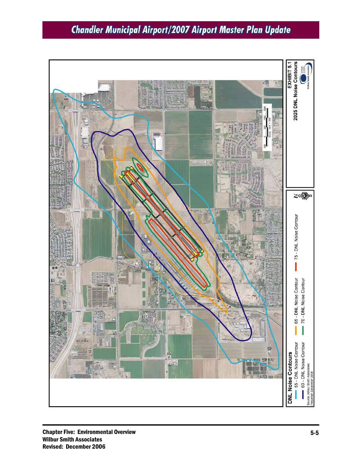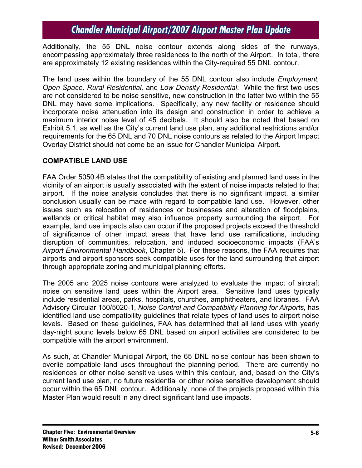Additionally, the 55 DNL noise contour extends along sides of the runways, encompassing approximately three residences to the north of the Airport. In total, there are approximately 12 existing residences within the City-required 55 DNL contour.

The land uses within the boundary of the 55 DNL contour also include *Employment, Open Space, Rural Residential,* and *Low Density Residential*. While the first two uses are not considered to be noise sensitive, new construction in the latter two within the 55 DNL may have some implications. Specifically, any new facility or residence should incorporate noise attenuation into its design and construction in order to achieve a maximum interior noise level of 45 decibels. It should also be noted that based on Exhibit 5.1, as well as the City's current land use plan, any additional restrictions and/or requirements for the 65 DNL and 70 DNL noise contours as related to the Airport Impact Overlay District should not come be an issue for Chandler Municipal Airport.

### **COMPATIBLE LAND USE**

FAA Order 5050.4B states that the compatibility of existing and planned land uses in the vicinity of an airport is usually associated with the extent of noise impacts related to that airport. If the noise analysis concludes that there is no significant impact, a similar conclusion usually can be made with regard to compatible land use. However, other issues such as relocation of residences or businesses and alteration of floodplains, wetlands or critical habitat may also influence property surrounding the airport. For example, land use impacts also can occur if the proposed projects exceed the threshold of significance of other impact areas that have land use ramifications, including disruption of communities, relocation, and induced socioeconomic impacts (FAA's *Airport Environmental Handbook*, Chapter 5). For these reasons, the FAA requires that airports and airport sponsors seek compatible uses for the land surrounding that airport through appropriate zoning and municipal planning efforts.

The 2005 and 2025 noise contours were analyzed to evaluate the impact of aircraft noise on sensitive land uses within the Airport area. Sensitive land uses typically include residential areas, parks, hospitals, churches, amphitheaters, and libraries. FAA Advisory Circular 150/5020-1, *Noise Control and Compatibility Planning for Airports,* has identified land use compatibility guidelines that relate types of land uses to airport noise levels. Based on these guidelines, FAA has determined that all land uses with yearly day-night sound levels below 65 DNL based on airport activities are considered to be compatible with the airport environment.

As such, at Chandler Municipal Airport, the 65 DNL noise contour has been shown to overlie compatible land uses throughout the planning period. There are currently no residences or other noise sensitive uses within this contour, and, based on the City's current land use plan, no future residential or other noise sensitive development should occur within the 65 DNL contour. Additionally, none of the projects proposed within this Master Plan would result in any direct significant land use impacts.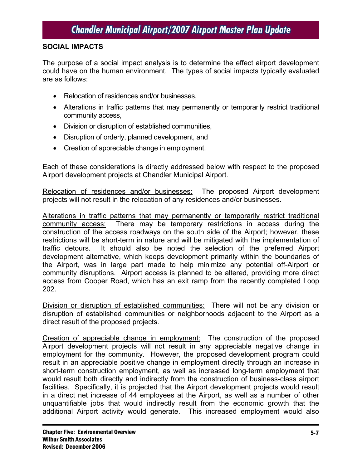#### **SOCIAL IMPACTS**

The purpose of a social impact analysis is to determine the effect airport development could have on the human environment. The types of social impacts typically evaluated are as follows:

- Relocation of residences and/or businesses.
- Alterations in traffic patterns that may permanently or temporarily restrict traditional community access,
- Division or disruption of established communities,
- Disruption of orderly, planned development, and
- Creation of appreciable change in employment.

Each of these considerations is directly addressed below with respect to the proposed Airport development projects at Chandler Municipal Airport.

Relocation of residences and/or businesses: The proposed Airport development projects will not result in the relocation of any residences and/or businesses.

Alterations in traffic patterns that may permanently or temporarily restrict traditional community access: There may be temporary restrictions in access during the construction of the access roadways on the south side of the Airport; however, these restrictions will be short-term in nature and will be mitigated with the implementation of traffic detours. It should also be noted the selection of the preferred Airport development alternative, which keeps development primarily within the boundaries of the Airport, was in large part made to help minimize any potential off-Airport or community disruptions. Airport access is planned to be altered, providing more direct access from Cooper Road, which has an exit ramp from the recently completed Loop 202.

Division or disruption of established communities: There will not be any division or disruption of established communities or neighborhoods adjacent to the Airport as a direct result of the proposed projects.

Creation of appreciable change in employment: The construction of the proposed Airport development projects will not result in any appreciable negative change in employment for the community. However, the proposed development program could result in an appreciable positive change in employment directly through an increase in short-term construction employment, as well as increased long-term employment that would result both directly and indirectly from the construction of business-class airport facilities. Specifically, it is projected that the Airport development projects would result in a direct net increase of 44 employees at the Airport, as well as a number of other unquantifiable jobs that would indirectly result from the economic growth that the additional Airport activity would generate. This increased employment would also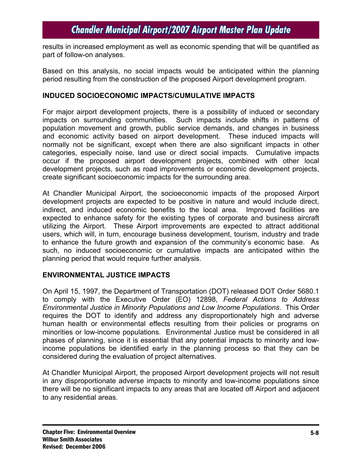results in increased employment as well as economic spending that will be quantified as part of follow-on analyses.

Based on this analysis, no social impacts would be anticipated within the planning period resulting from the construction of the proposed Airport development program.

#### **INDUCED SOCIOECONOMIC IMPACTS/CUMULATIVE IMPACTS**

For major airport development projects, there is a possibility of induced or secondary impacts on surrounding communities. Such impacts include shifts in patterns of population movement and growth, public service demands, and changes in business and economic activity based on airport development. These induced impacts will normally not be significant, except when there are also significant impacts in other categories, especially noise, land use or direct social impacts. Cumulative impacts occur if the proposed airport development projects, combined with other local development projects, such as road improvements or economic development projects, create significant socioeconomic impacts for the surrounding area.

At Chandler Municipal Airport, the socioeconomic impacts of the proposed Airport development projects are expected to be positive in nature and would include direct, indirect, and induced economic benefits to the local area. Improved facilities are expected to enhance safety for the existing types of corporate and business aircraft utilizing the Airport. These Airport improvements are expected to attract additional users, which will, in turn, encourage business development, tourism, industry and trade to enhance the future growth and expansion of the community's economic base. As such, no induced socioeconomic or cumulative impacts are anticipated within the planning period that would require further analysis.

### **ENVIRONMENTAL JUSTICE IMPACTS**

On April 15, 1997, the Department of Transportation (DOT) released DOT Order 5680.1 to comply with the Executive Order (EO) 12898, *Federal Actions to Address Environmental Justice in Minority Populations and Low Income Populations*. This Order requires the DOT to identify and address any disproportionately high and adverse human health or environmental effects resulting from their policies or programs on minorities or low-income populations. Environmental Justice must be considered in all phases of planning, since it is essential that any potential impacts to minority and lowincome populations be identified early in the planning process so that they can be considered during the evaluation of project alternatives.

At Chandler Municipal Airport, the proposed Airport development projects will not result in any disproportionate adverse impacts to minority and low-income populations since there will be no significant impacts to any areas that are located off Airport and adjacent to any residential areas.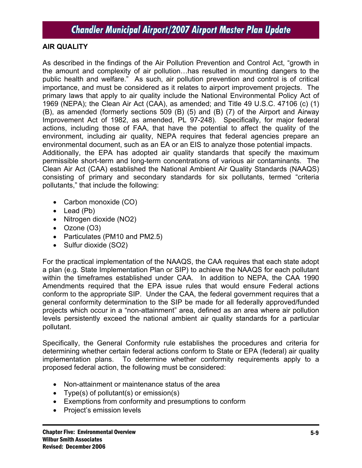### **AIR QUALITY**

As described in the findings of the Air Pollution Prevention and Control Act, "growth in the amount and complexity of air pollution…has resulted in mounting dangers to the public health and welfare." As such, air pollution prevention and control is of critical importance, and must be considered as it relates to airport improvement projects. The primary laws that apply to air quality include the National Environmental Policy Act of 1969 (NEPA); the Clean Air Act (CAA), as amended; and Title 49 U.S.C. 47106 (c) (1) (B), as amended (formerly sections 509 (B) (5) and (B) (7) of the Airport and Airway Improvement Act of 1982, as amended, PL 97-248). Specifically, for major federal actions, including those of FAA, that have the potential to affect the quality of the environment, including air quality, NEPA requires that federal agencies prepare an environmental document, such as an EA or an EIS to analyze those potential impacts. Additionally, the EPA has adopted air quality standards that specify the maximum permissible short-term and long-term concentrations of various air contaminants. The Clean Air Act (CAA) established the National Ambient Air Quality Standards (NAAQS) consisting of primary and secondary standards for six pollutants, termed "criteria pollutants," that include the following:

- Carbon monoxide (CO)
- Lead (Pb)
- Nitrogen dioxide (NO2)
- Ozone (O3)
- Particulates (PM10 and PM2.5)
- Sulfur dioxide (SO2)

For the practical implementation of the NAAQS, the CAA requires that each state adopt a plan (e.g. State Implementation Plan or SIP) to achieve the NAAQS for each pollutant within the timeframes established under CAA. In addition to NEPA, the CAA 1990 Amendments required that the EPA issue rules that would ensure Federal actions conform to the appropriate SIP. Under the CAA, the federal government requires that a general conformity determination to the SIP be made for all federally approved/funded projects which occur in a "non-attainment" area, defined as an area where air pollution levels persistently exceed the national ambient air quality standards for a particular pollutant.

Specifically, the General Conformity rule establishes the procedures and criteria for determining whether certain federal actions conform to State or EPA (federal) air quality implementation plans. To determine whether conformity requirements apply to a proposed federal action, the following must be considered:

- Non-attainment or maintenance status of the area
- Type(s) of pollutant(s) or emission(s)
- Exemptions from conformity and presumptions to conform
- Project's emission levels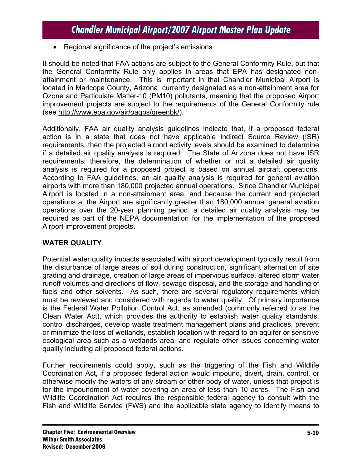• Regional significance of the project's emissions

It should be noted that FAA actions are subject to the General Conformity Rule, but that the General Conformity Rule only applies in areas that EPA has designated nonattainment or maintenance. This is important in that Chandler Municipal Airport is located in Maricopa County, Arizona, currently designated as a non-attainment area for Ozone and Particulate Matter-10 (PM10) pollutants, meaning that the proposed Airport improvement projects are subject to the requirements of the General Conformity rule (see http://www.epa.gov/air/oaqps/greenbk/).

Additionally, FAA air quality analysis guidelines indicate that, if a proposed federal action is in a state that does not have applicable Indirect Source Review (ISR) requirements, then the projected airport activity levels should be examined to determine if a detailed air quality analysis is required. The State of Arizona does not have ISR requirements; therefore, the determination of whether or not a detailed air quality analysis is required for a proposed project is based on annual aircraft operations. According to FAA guidelines, an air quality analysis is required for general aviation airports with more than 180,000 projected annual operations. Since Chandler Municipal Airport is located in a non-attainment area, and because the current and projected operations at the Airport are significantly greater than 180,000 annual general aviation operations over the 20-year planning period, a detailed air quality analysis may be required as part of the NEPA documentation for the implementation of the proposed Airport improvement projects.

### **WATER QUALITY**

Potential water quality impacts associated with airport development typically result from the disturbance of large areas of soil during construction, significant alternation of site grading and drainage, creation of large areas of impervious surface, altered storm water runoff volumes and directions of flow, sewage disposal, and the storage and handling of fuels and other solvents. As such, there are several regulatory requirements which must be reviewed and considered with regards to water quality. Of primary importance is the Federal Water Pollution Control Act, as amended (commonly referred to as the Clean Water Act), which provides the authority to establish water quality standards, control discharges, develop waste treatment management plans and practices, prevent or minimize the loss of wetlands, establish location with regard to an aquifer or sensitive ecological area such as a wetlands area, and regulate other issues concerning water quality including all proposed federal actions.

Further requirements could apply, such as the triggering of the Fish and Wildlife Coordination Act, if a proposed federal action would impound, divert, drain, control, or otherwise modify the waters of any stream or other body of water, unless that project is for the impoundment of water covering an area of less than 10 acres. The Fish and Wildlife Coordination Act requires the responsible federal agency to consult with the Fish and Wildlife Service (FWS) and the applicable state agency to identify means to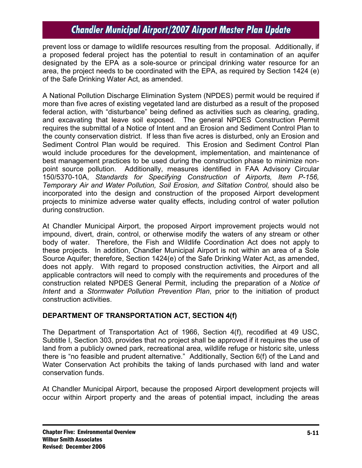prevent loss or damage to wildlife resources resulting from the proposal. Additionally, if a proposed federal project has the potential to result in contamination of an aquifer designated by the EPA as a sole-source or principal drinking water resource for an area, the project needs to be coordinated with the EPA, as required by Section 1424 (e) of the Safe Drinking Water Act, as amended.

A National Pollution Discharge Elimination System (NPDES) permit would be required if more than five acres of existing vegetated land are disturbed as a result of the proposed federal action, with "disturbance" being defined as activities such as clearing, grading, and excavating that leave soil exposed. The general NPDES Construction Permit requires the submittal of a Notice of Intent and an Erosion and Sediment Control Plan to the county conservation district. If less than five acres is disturbed, only an Erosion and Sediment Control Plan would be required. This Erosion and Sediment Control Plan would include procedures for the development, implementation, and maintenance of best management practices to be used during the construction phase to minimize nonpoint source pollution. Additionally, measures identified in FAA Advisory Circular 150/5370-10A, *Standards for Specifying Construction of Airports, Item P-156, Temporary Air and Water Pollution, Soil Erosion, and Siltation Control,* should also be incorporated into the design and construction of the proposed Airport development projects to minimize adverse water quality effects, including control of water pollution during construction.

At Chandler Municipal Airport, the proposed Airport improvement projects would not impound, divert, drain, control, or otherwise modify the waters of any stream or other body of water. Therefore, the Fish and Wildlife Coordination Act does not apply to these projects. In addition, Chandler Municipal Airport is not within an area of a Sole Source Aquifer; therefore, Section 1424(e) of the Safe Drinking Water Act, as amended, does not apply. With regard to proposed construction activities, the Airport and all applicable contractors will need to comply with the requirements and procedures of the construction related NPDES General Permit, including the preparation of a *Notice of Intent* and a *Stormwater Pollution Prevention Plan*, prior to the initiation of product construction activities.

### **DEPARTMENT OF TRANSPORTATION ACT, SECTION 4(f)**

The Department of Transportation Act of 1966, Section 4(f), recodified at 49 USC, Subtitle I, Section 303, provides that no project shall be approved if it requires the use of land from a publicly owned park, recreational area, wildlife refuge or historic site, unless there is "no feasible and prudent alternative." Additionally, Section 6(f) of the Land and Water Conservation Act prohibits the taking of lands purchased with land and water conservation funds.

At Chandler Municipal Airport, because the proposed Airport development projects will occur within Airport property and the areas of potential impact, including the areas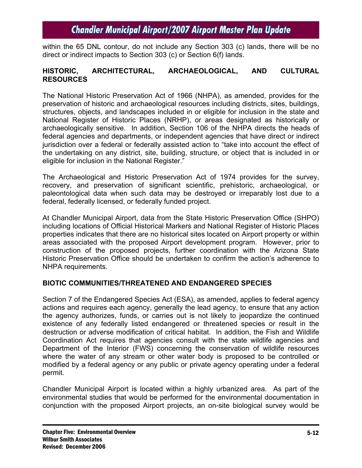within the 65 DNL contour, do not include any Section 303 (c) lands, there will be no direct or indirect impacts to Section 303 (c) or Section 6(f) lands.

#### **HISTORIC, ARCHITECTURAL, ARCHAEOLOGICAL, AND CULTURAL RESOURCES**

The National Historic Preservation Act of 1966 (NHPA), as amended, provides for the preservation of historic and archaeological resources including districts, sites, buildings, structures, objects, and landscapes included in or eligible for inclusion in the state and National Register of Historic Places (NRHP), or areas designated as historically or archaeologically sensitive. In addition, Section 106 of the NHPA directs the heads of federal agencies and departments, or independent agencies that have direct or indirect jurisdiction over a federal or federally assisted action to "take into account the effect of the undertaking on any district, site, building, structure, or object that is included in or eligible for inclusion in the National Register."

The Archaeological and Historic Preservation Act of 1974 provides for the survey, recovery, and preservation of significant scientific, prehistoric, archaeological, or paleontological data when such data may be destroyed or irreparably lost due to a federal, federally licensed, or federally funded project.

At Chandler Municipal Airport, data from the State Historic Preservation Office (SHPO) including locations of Official Historical Markers and National Register of Historic Places properties indicates that there are no historical sites located on Airport property or within areas associated with the proposed Airport development program. However, prior to construction of the proposed projects, further coordination with the Arizona State Historic Preservation Office should be undertaken to confirm the action's adherence to NHPA requirements.

### **BIOTIC COMMUNITIES/THREATENED AND ENDANGERED SPECIES**

Section 7 of the Endangered Species Act (ESA), as amended, applies to federal agency actions and requires each agency, generally the lead agency, to ensure that any action the agency authorizes, funds, or carries out is not likely to jeopardize the continued existence of any federally listed endangered or threatened species or result in the destruction or adverse modification of critical habitat. In addition, the Fish and Wildlife Coordination Act requires that agencies consult with the state wildlife agencies and Department of the Interior (FWS) concerning the conservation of wildlife resources where the water of any stream or other water body is proposed to be controlled or modified by a federal agency or any public or private agency operating under a federal permit.

Chandler Municipal Airport is located within a highly urbanized area. As part of the environmental studies that would be performed for the environmental documentation in conjunction with the proposed Airport projects, an on-site biological survey would be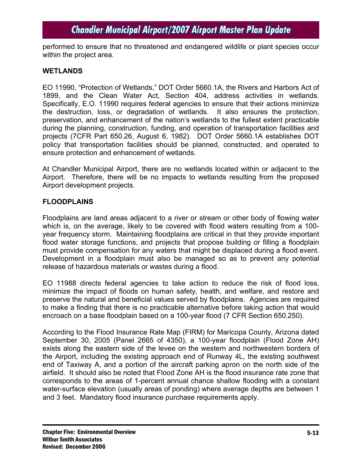performed to ensure that no threatened and endangered wildlife or plant species occur within the project area.

#### **WETLANDS**

EO 11990, "Protection of Wetlands," DOT Order 5660.1A, the Rivers and Harbors Act of 1899, and the Clean Water Act, Section 404, address activities in wetlands. Specifically, E.O. 11990 requires federal agencies to ensure that their actions minimize the destruction, loss, or degradation of wetlands. It also ensures the protection, preservation, and enhancement of the nation's wetlands to the fullest extent practicable during the planning, construction, funding, and operation of transportation facilities and projects (7CFR Part 650.26, August 6, 1982). DOT Order 5660.1A establishes DOT policy that transportation facilities should be planned, constructed, and operated to ensure protection and enhancement of wetlands.

At Chandler Municipal Airport, there are no wetlands located within or adjacent to the Airport. Therefore, there will be no impacts to wetlands resulting from the proposed Airport development projects.

#### **FLOODPLAINS**

Floodplains are land areas adjacent to a river or stream or other body of flowing water which is, on the average, likely to be covered with flood waters resulting from a 100 year frequency storm. Maintaining floodplains are critical in that they provide important flood water storage functions, and projects that propose building or filling a floodplain must provide compensation for any waters that might be displaced during a flood event. Development in a floodplain must also be managed so as to prevent any potential release of hazardous materials or wastes during a flood.

EO 11988 directs federal agencies to take action to reduce the risk of flood loss, minimize the impact of floods on human safety, health, and welfare, and restore and preserve the natural and beneficial values served by floodplains. Agencies are required to make a finding that there is no practicable alternative before taking action that would encroach on a base floodplain based on a 100-year flood (7 CFR Section 650.250).

According to the Flood Insurance Rate Map (FIRM) for Maricopa County, Arizona dated September 30, 2005 (Panel 2665 of 4350), a 100-year floodplain (Flood Zone AH) exists along the eastern side of the levee on the western and northwestern borders of the Airport, including the existing approach end of Runway 4L, the existing southwest end of Taxiway A, and a portion of the aircraft parking apron on the north side of the airfield. It should also be noted that Flood Zone AH is the flood insurance rate zone that corresponds to the areas of 1-percent annual chance shallow flooding with a constant water-surface elevation (usually areas of ponding) where average depths are between 1 and 3 feet. Mandatory flood insurance purchase requirements apply.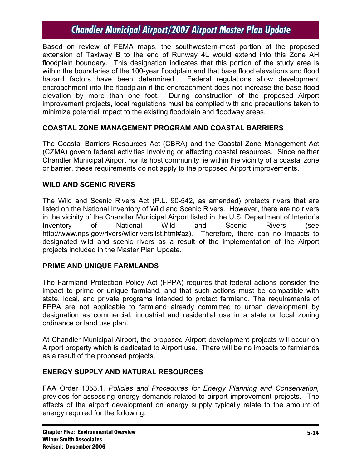Based on review of FEMA maps, the southwestern-most portion of the proposed extension of Taxiway B to the end of Runway 4L would extend into this Zone AH floodplain boundary. This designation indicates that this portion of the study area is within the boundaries of the 100-year floodplain and that base flood elevations and flood hazard factors have been determined. Federal regulations allow development encroachment into the floodplain if the encroachment does not increase the base flood elevation by more than one foot. During construction of the proposed Airport improvement projects, local regulations must be complied with and precautions taken to minimize potential impact to the existing floodplain and floodway areas.

### **COASTAL ZONE MANAGEMENT PROGRAM AND COASTAL BARRIERS**

The Coastal Barriers Resources Act (CBRA) and the Coastal Zone Management Act (CZMA) govern federal activities involving or affecting coastal resources. Since neither Chandler Municipal Airport nor its host community lie within the vicinity of a coastal zone or barrier, these requirements do not apply to the proposed Airport improvements.

#### **WILD AND SCENIC RIVERS**

The Wild and Scenic Rivers Act (P.L. 90-542, as amended) protects rivers that are listed on the National Inventory of Wild and Scenic Rivers. However, there are no rivers in the vicinity of the Chandler Municipal Airport listed in the U.S. Department of Interior's Inventory of National Wild and Scenic Rivers (see http://www.nps.gov/rivers/wildriverslist.html#az). Therefore, there can no impacts to designated wild and scenic rivers as a result of the implementation of the Airport projects included in the Master Plan Update.

#### **PRIME AND UNIQUE FARMLANDS**

The Farmland Protection Policy Act (FPPA) requires that federal actions consider the impact to prime or unique farmland, and that such actions must be compatible with state, local, and private programs intended to protect farmland. The requirements of FPPA are not applicable to farmland already committed to urban development by designation as commercial, industrial and residential use in a state or local zoning ordinance or land use plan.

At Chandler Municipal Airport, the proposed Airport development projects will occur on Airport property which is dedicated to Airport use. There will be no impacts to farmlands as a result of the proposed projects.

#### **ENERGY SUPPLY AND NATURAL RESOURCES**

FAA Order 1053.1, *Policies and Procedures for Energy Planning and Conservation,*  provides for assessing energy demands related to airport improvement projects. The effects of the airport development on energy supply typically relate to the amount of energy required for the following: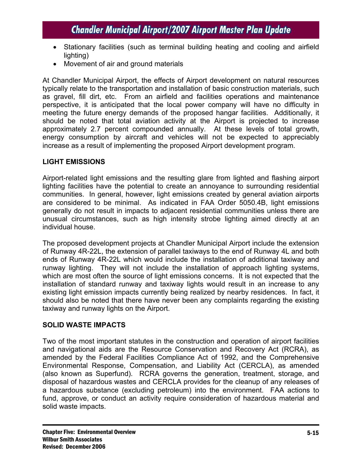- Stationary facilities (such as terminal building heating and cooling and airfield lighting)
- Movement of air and ground materials

At Chandler Municipal Airport, the effects of Airport development on natural resources typically relate to the transportation and installation of basic construction materials, such as gravel, fill dirt, etc. From an airfield and facilities operations and maintenance perspective, it is anticipated that the local power company will have no difficulty in meeting the future energy demands of the proposed hangar facilities. Additionally, it should be noted that total aviation activity at the Airport is projected to increase approximately 2.7 percent compounded annually. At these levels of total growth, energy consumption by aircraft and vehicles will not be expected to appreciably increase as a result of implementing the proposed Airport development program.

### **LIGHT EMISSIONS**

Airport-related light emissions and the resulting glare from lighted and flashing airport lighting facilities have the potential to create an annoyance to surrounding residential communities. In general, however, light emissions created by general aviation airports are considered to be minimal. As indicated in FAA Order 5050.4B, light emissions generally do not result in impacts to adjacent residential communities unless there are unusual circumstances, such as high intensity strobe lighting aimed directly at an individual house.

The proposed development projects at Chandler Municipal Airport include the extension of Runway 4R-22L, the extension of parallel taxiways to the end of Runway 4L and both ends of Runway 4R-22L which would include the installation of additional taxiway and runway lighting. They will not include the installation of approach lighting systems, which are most often the source of light emissions concerns. It is not expected that the installation of standard runway and taxiway lights would result in an increase to any existing light emission impacts currently being realized by nearby residences. In fact, it should also be noted that there have never been any complaints regarding the existing taxiway and runway lights on the Airport.

### **SOLID WASTE IMPACTS**

Two of the most important statutes in the construction and operation of airport facilities and navigational aids are the Resource Conservation and Recovery Act (RCRA), as amended by the Federal Facilities Compliance Act of 1992, and the Comprehensive Environmental Response, Compensation, and Liability Act (CERCLA), as amended (also known as Superfund). RCRA governs the generation, treatment, storage, and disposal of hazardous wastes and CERCLA provides for the cleanup of any releases of a hazardous substance (excluding petroleum) into the environment. FAA actions to fund, approve, or conduct an activity require consideration of hazardous material and solid waste impacts.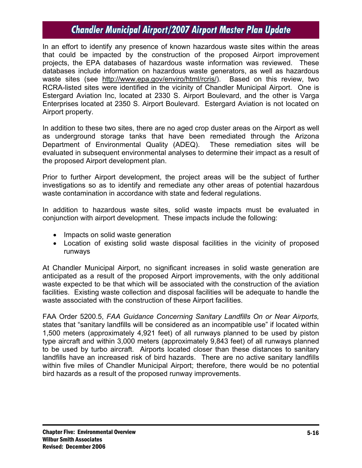In an effort to identify any presence of known hazardous waste sites within the areas that could be impacted by the construction of the proposed Airport improvement projects, the EPA databases of hazardous waste information was reviewed. These databases include information on hazardous waste generators, as well as hazardous waste sites (see http://www.epa.gov/enviro/html/rcris/). Based on this review, two RCRA-listed sites were identified in the vicinity of Chandler Municipal Airport. One is Estergard Aviation Inc, located at 2330 S. Airport Boulevard, and the other is Varga Enterprises located at 2350 S. Airport Boulevard. Estergard Aviation is not located on Airport property.

In addition to these two sites, there are no aged crop duster areas on the Airport as well as underground storage tanks that have been remediated through the Arizona Department of Environmental Quality (ADEQ). These remediation sites will be evaluated in subsequent environmental analyses to determine their impact as a result of the proposed Airport development plan.

Prior to further Airport development, the project areas will be the subject of further investigations so as to identify and remediate any other areas of potential hazardous waste contamination in accordance with state and federal regulations.

In addition to hazardous waste sites, solid waste impacts must be evaluated in conjunction with airport development. These impacts include the following:

- Impacts on solid waste generation
- Location of existing solid waste disposal facilities in the vicinity of proposed runways

At Chandler Municipal Airport, no significant increases in solid waste generation are anticipated as a result of the proposed Airport improvements, with the only additional waste expected to be that which will be associated with the construction of the aviation facilities. Existing waste collection and disposal facilities will be adequate to handle the waste associated with the construction of these Airport facilities.

FAA Order 5200.5, *FAA Guidance Concerning Sanitary Landfills On or Near Airports,*  states that "sanitary landfills will be considered as an incompatible use" if located within 1,500 meters (approximately 4,921 feet) of all runways planned to be used by piston type aircraft and within 3,000 meters (approximately 9,843 feet) of all runways planned to be used by turbo aircraft. Airports located closer than these distances to sanitary landfills have an increased risk of bird hazards. There are no active sanitary landfills within five miles of Chandler Municipal Airport; therefore, there would be no potential bird hazards as a result of the proposed runway improvements.